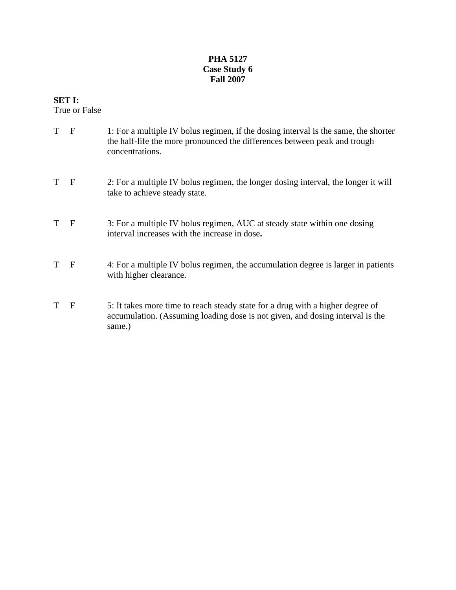## **PHA 5127 Case Study 6 Fall 2007**

## **SET I:**

True or False

- T F 1: For a multiple IV bolus regimen, if the dosing interval is the same, the shorter the half-life the more pronounced the differences between peak and trough concentrations. T F 2: For a multiple IV bolus regimen, the longer dosing interval, the longer it will take to achieve steady state. T F 3: For a multiple IV bolus regimen, AUC at steady state within one dosing interval increases with the increase in dose**.** T F 4: For a multiple IV bolus regimen, the accumulation degree is larger in patients with higher clearance.
- T F 5: It takes more time to reach steady state for a drug with a higher degree of accumulation. (Assuming loading dose is not given, and dosing interval is the same.)